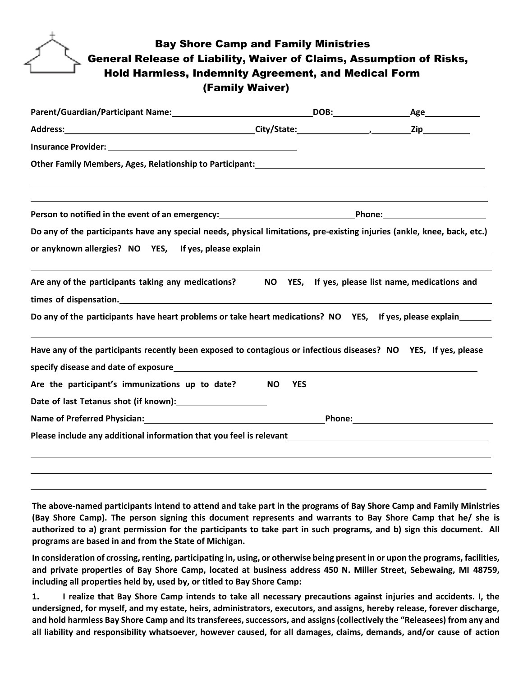## Bay Shore Camp and Family Ministries General Release of Liability, Waiver of Claims, Assumption of Risks, Hold Harmless, Indemnity Agreement, and Medical Form (Family Waiver)

| Address: 219                                                                                                                                                              |                         |                                                   |
|---------------------------------------------------------------------------------------------------------------------------------------------------------------------------|-------------------------|---------------------------------------------------|
|                                                                                                                                                                           |                         |                                                   |
| Other Family Members, Ages, Relationship to Participant:<br>2011 - 2022 - 2022 - 2022 - 2022 - 2022 - 2023 - 2024 - 2022 - 2023 - 2024 - 2022 - 2023 - 2023 - 2024 - 2022 |                         |                                                   |
|                                                                                                                                                                           |                         |                                                   |
| Person to notified in the event of an emergency: ________________________________Phone: ______________________                                                            |                         |                                                   |
| Do any of the participants have any special needs, physical limitations, pre-existing injuries (ankle, knee, back, etc.)                                                  |                         |                                                   |
|                                                                                                                                                                           |                         |                                                   |
|                                                                                                                                                                           |                         |                                                   |
| Are any of the participants taking any medications?                                                                                                                       |                         | NO YES, If yes, please list name, medications and |
| times of dispensation. Manual Community of the set of dispensation.                                                                                                       |                         |                                                   |
| Do any of the participants have heart problems or take heart medications? NO YES, If yes, please explain                                                                  |                         |                                                   |
| Have any of the participants recently been exposed to contagious or infectious diseases? NO YES, If yes, please                                                           |                         |                                                   |
| specify disease and date of exposure example and the state of exponent of the state of the state of exposure                                                              |                         |                                                   |
| Are the participant's immunizations up to date?                                                                                                                           | <b>NO</b><br><b>YES</b> |                                                   |
|                                                                                                                                                                           |                         |                                                   |
|                                                                                                                                                                           |                         |                                                   |
| Please include any additional information that you feel is relevant and the controller control of the control o                                                           |                         |                                                   |
|                                                                                                                                                                           |                         |                                                   |
|                                                                                                                                                                           |                         |                                                   |
|                                                                                                                                                                           |                         |                                                   |

**The above-named participants intend to attend and take part in the programs of Bay Shore Camp and Family Ministries (Bay Shore Camp). The person signing this document represents and warrants to Bay Shore Camp that he/ she is** authorized to a) grant permission for the participants to take part in such programs, and b) sign this document. All **programs are based in and from the State of Michigan.**

l

**In consideration of crossing, renting, participating in, using, or otherwise being present in or upon the programs, facilities, and private properties of Bay Shore Camp, located at business address 450 N. Miller Street, Sebewaing, MI 48759, including all properties held by, used by, or titled to Bay Shore Camp:**

**1. I realize that Bay Shore Camp intends to take all necessary precautions against injuries and accidents. I, the** undersigned, for myself, and my estate, heirs, administrators, executors, and assigns, hereby release, forever discharge, **and hold harmless Bay Shore Camp and its transferees, successors, and assigns (collectively the "Releasees) from any and all liability and responsibility whatsoever, however caused, for all damages, claims, demands, and/or cause of action**